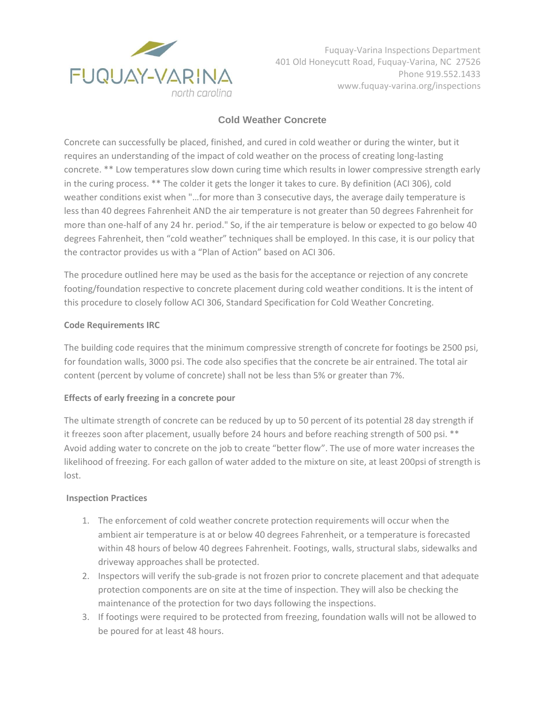

Fuquay-Varina Inspections Department 401 Old Honeycutt Road, Fuquay-Varina, NC 27526 Phone 919.552.1433 www.fuquay-varina.org/inspections

# **Cold Weather Concrete**

Concrete can successfully be placed, finished, and cured in cold weather or during the winter, but it requires an understanding of the impact of cold weather on the process of creating long-lasting concrete. \*\* Low temperatures slow down curing time which results in lower compressive strength early in the curing process. \*\* The colder it gets the longer it takes to cure. By definition (ACI 306), cold weather conditions exist when "…for more than 3 consecutive days, the average daily temperature is less than 40 degrees Fahrenheit AND the air temperature is not greater than 50 degrees Fahrenheit for more than one-half of any 24 hr. period." So, if the air temperature is below or expected to go below 40 degrees Fahrenheit, then "cold weather" techniques shall be employed. In this case, it is our policy that the contractor provides us with a "Plan of Action" based on ACI 306.

The procedure outlined here may be used as the basis for the acceptance or rejection of any concrete footing/foundation respective to concrete placement during cold weather conditions. It is the intent of this procedure to closely follow ACI 306, Standard Specification for Cold Weather Concreting.

## **Code Requirements IRC**

The building code requires that the minimum compressive strength of concrete for footings be 2500 psi, for foundation walls, 3000 psi. The code also specifies that the concrete be air entrained. The total air content (percent by volume of concrete) shall not be less than 5% or greater than 7%.

## **Effects of early freezing in a concrete pour**

The ultimate strength of concrete can be reduced by up to 50 percent of its potential 28 day strength if it freezes soon after placement, usually before 24 hours and before reaching strength of 500 psi. \*\* Avoid adding water to concrete on the job to create "better flow". The use of more water increases the likelihood of freezing. For each gallon of water added to the mixture on site, at least 200psi of strength is lost.

## **Inspection Practices**

- 1. The enforcement of cold weather concrete protection requirements will occur when the ambient air temperature is at or below 40 degrees Fahrenheit, or a temperature is forecasted within 48 hours of below 40 degrees Fahrenheit. Footings, walls, structural slabs, sidewalks and driveway approaches shall be protected.
- 2. Inspectors will verify the sub-grade is not frozen prior to concrete placement and that adequate protection components are on site at the time of inspection. They will also be checking the maintenance of the protection for two days following the inspections.
- 3. If footings were required to be protected from freezing, foundation walls will not be allowed to be poured for at least 48 hours.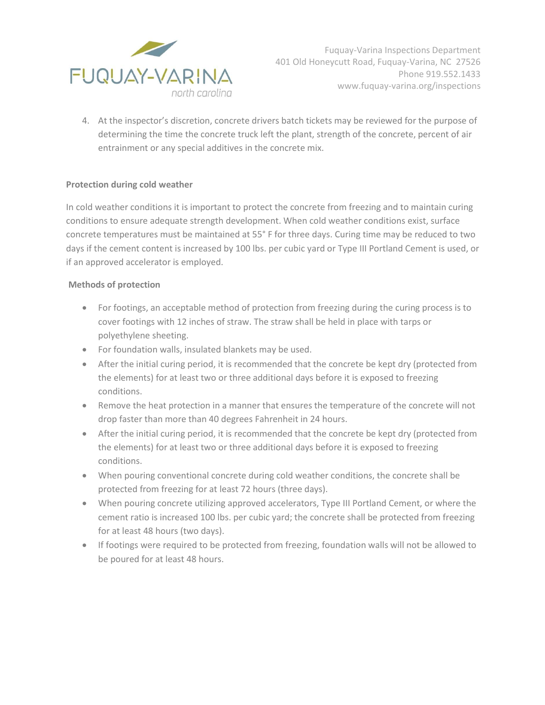

Fuquay-Varina Inspections Department 401 Old Honeycutt Road, Fuquay-Varina, NC 27526 Phone 919.552.1433 www.fuquay-varina.org/inspections

4. At the inspector's discretion, concrete drivers batch tickets may be reviewed for the purpose of determining the time the concrete truck left the plant, strength of the concrete, percent of air entrainment or any special additives in the concrete mix.

## **Protection during cold weather**

In cold weather conditions it is important to protect the concrete from freezing and to maintain curing conditions to ensure adequate strength development. When cold weather conditions exist, surface concrete temperatures must be maintained at 55° F for three days. Curing time may be reduced to two days if the cement content is increased by 100 lbs. per cubic yard or Type III Portland Cement is used, or if an approved accelerator is employed.

#### **Methods of protection**

- For footings, an acceptable method of protection from freezing during the curing process is to cover footings with 12 inches of straw. The straw shall be held in place with tarps or polyethylene sheeting.
- For foundation walls, insulated blankets may be used.
- After the initial curing period, it is recommended that the concrete be kept dry (protected from the elements) for at least two or three additional days before it is exposed to freezing conditions.
- Remove the heat protection in a manner that ensures the temperature of the concrete will not drop faster than more than 40 degrees Fahrenheit in 24 hours.
- After the initial curing period, it is recommended that the concrete be kept dry (protected from the elements) for at least two or three additional days before it is exposed to freezing conditions.
- When pouring conventional concrete during cold weather conditions, the concrete shall be protected from freezing for at least 72 hours (three days).
- When pouring concrete utilizing approved accelerators, Type III Portland Cement, or where the cement ratio is increased 100 lbs. per cubic yard; the concrete shall be protected from freezing for at least 48 hours (two days).
- If footings were required to be protected from freezing, foundation walls will not be allowed to be poured for at least 48 hours.